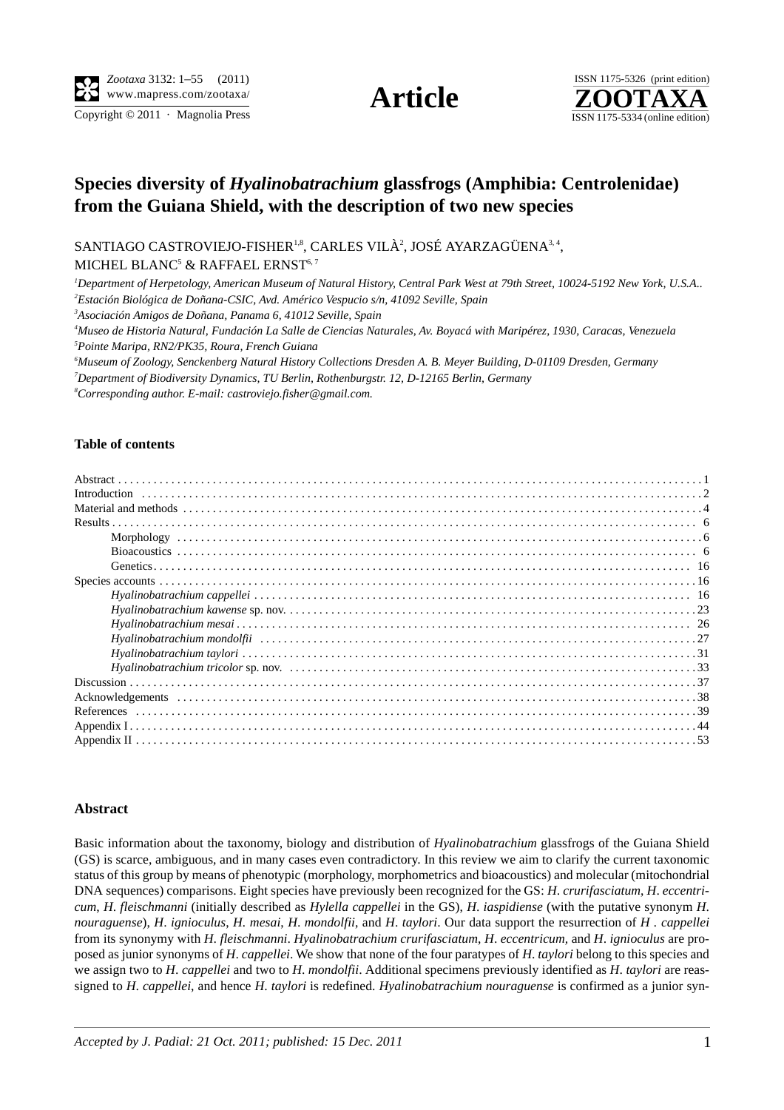Copyright  $\odot$  2011 · Magnolia Press ISSN 1175-5334 (online edition)



## **Species diversity of** *Hyalinobatrachium* **glassfrogs (Amphibia: Centrolenidae) from the Guiana Shield, with the description of two new species**

SANTIAGO CASTROVIEJO-FISHER $^{1,8}$ , CARLES VILÀ $^{2}$ , JOSÉ AYARZAGÜENA $^{3,4}$ ,

MICHEL BLANC $^5$  & RAFFAEL ERNST $^{6,7}$ 

*1 Department of Herpetology, American Museum of Natural History, Central Park West at 79th Street, 10024-5192 New York, U.S.A.. 2 Estación Biológica de Doñana-CSIC, Avd. Américo Vespucio s/n, 41092 Seville, Spain*

*3 Asociación Amigos de Doñana, Panama 6, 41012 Seville, Spain* 

*4 Museo de Historia Natural, Fundación La Salle de Ciencias Naturales, Av. Boyacá with Maripérez, 1930, Caracas, Venezuela 5 Pointe Maripa, RN2/PK35, Roura, French Guiana*

*6 Museum of Zoology, Senckenberg Natural History Collections Dresden A. B. Meyer Building, D-01109 Dresden, Germany 7 Department of Biodiversity Dynamics, TU Berlin, Rothenburgstr. 12, D-12165 Berlin, Germany*

*8 Corresponding author. E-mail: castroviejo.fisher@gmail.com.*

## **Table of contents**

## **Abstract**

Basic information about the taxonomy, biology and distribution of *Hyalinobatrachium* glassfrogs of the Guiana Shield (GS) is scarce, ambiguous, and in many cases even contradictory. In this review we aim to clarify the current taxonomic status of this group by means of phenotypic (morphology, morphometrics and bioacoustics) and molecular (mitochondrial DNA sequences) comparisons. Eight species have previously been recognized for the GS: *H*. *crurifasciatum*, *H*. *eccentricum*, *H*. *fleischmanni* (initially described as *Hylella cappellei* in the GS), *H*. *iaspidiense* (with the putative synonym *H*. *nouraguense*), *H*. *ignioculus*, *H. mesai*, *H*. *mondolfii*, and *H*. *taylori*. Our data support the resurrection of *H . cappellei* from its synonymy with *H*. *fleischmanni*. *Hyalinobatrachium crurifasciatum*, *H*. *eccentricum,* and *H*. *ignioculus* are proposed as junior synonyms of *H*. *cappellei*. We show that none of the four paratypes of *H*. *taylori* belong to this species and we assign two to *H*. *cappellei* and two to *H*. *mondolfii*. Additional specimens previously identified as *H*. *taylori* are reassigned to *H*. *cappellei*, and hence *H*. *taylori* is redefined. *Hyalinobatrachium nouraguense* is confirmed as a junior syn